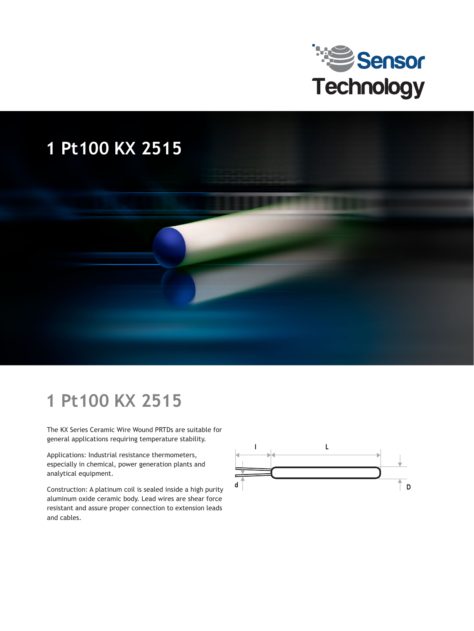

## **1 Pt100 KX 2515**



The KX Series Ceramic Wire Wound PRTDs are suitable for general applications requiring temperature stability.

Applications: Industrial resistance thermometers, especially in chemical, power generation plants and analytical equipment.

Construction: A platinum coil is sealed inside a high purity aluminum oxide ceramic body. Lead wires are shear force resistant and assure proper connection to extension leads and cables.

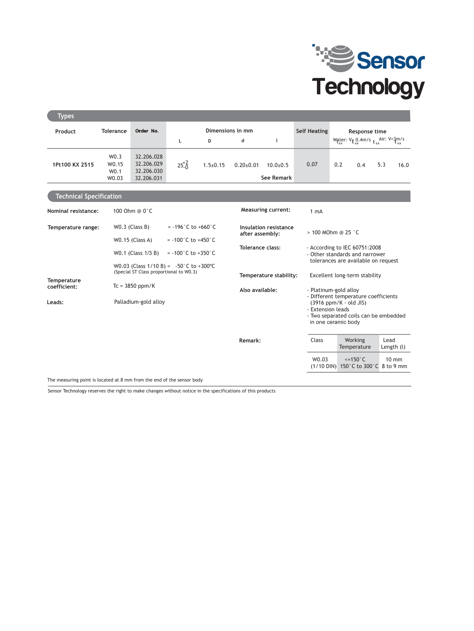

| <b>Types</b>                   |                                   |                                                                                      |                                                                                    |                |                                              |                                                         |                                                                                                        |                                                                                                                                                                              |                                                                |      |                 |  |
|--------------------------------|-----------------------------------|--------------------------------------------------------------------------------------|------------------------------------------------------------------------------------|----------------|----------------------------------------------|---------------------------------------------------------|--------------------------------------------------------------------------------------------------------|------------------------------------------------------------------------------------------------------------------------------------------------------------------------------|----------------------------------------------------------------|------|-----------------|--|
| Product                        | <b>Tolerance</b>                  | Order No.                                                                            | Dimensions in mm                                                                   |                |                                              |                                                         | <b>Self Heating</b>                                                                                    | Response time                                                                                                                                                                |                                                                |      |                 |  |
|                                |                                   |                                                                                      | Г                                                                                  | D              | d                                            | $\mathsf{I}$                                            |                                                                                                        |                                                                                                                                                                              | Water: $V_{\bar{t}_{0.9}}$ 0.4m/s $_{t_{0.5}}$ Air: $V = 3m/s$ |      |                 |  |
| 1Pt100 KX 2515                 | W0.3<br>W <sub>0.15</sub><br>W0.1 | 32.206.028<br>32.206.029<br>32.206.030                                               | $25^{+2}_{-0}$                                                                     | $1.5 \pm 0.15$ | $0.20 \pm 0.01$                              | $10.0 + 0.5$                                            | 0.07                                                                                                   | 0.2                                                                                                                                                                          | 0.4                                                            | 5.3  | 16.0            |  |
|                                | W0.03                             | 32.206.031                                                                           |                                                                                    |                |                                              | <b>See Remark</b>                                       |                                                                                                        |                                                                                                                                                                              |                                                                |      |                 |  |
| <b>Technical Specification</b> |                                   |                                                                                      |                                                                                    |                |                                              |                                                         |                                                                                                        |                                                                                                                                                                              |                                                                |      |                 |  |
| Nominal resistance:            | 100 Ohm @ 0°C                     |                                                                                      |                                                                                    |                | <b>Measuring current:</b><br>1 <sub>mA</sub> |                                                         |                                                                                                        |                                                                                                                                                                              |                                                                |      |                 |  |
| Temperature range:             |                                   | $WO.3$ (Class B)                                                                     | $= -196^{\circ}$ C to $+660^{\circ}$ C<br>Insulation resistance<br>after assembly: |                |                                              |                                                         |                                                                                                        | > 100 MOhm @ 25 °C                                                                                                                                                           |                                                                |      |                 |  |
|                                |                                   | <b>W0.15 (Class A)</b>                                                               | $= -100^{\circ}$ C to $+450^{\circ}$ C                                             |                | Tolerance class:                             |                                                         | - According to IEC 60751:2008<br>- Other standards and narrower<br>tolerances are available on request |                                                                                                                                                                              |                                                                |      |                 |  |
|                                |                                   | W0.1 (Class 1/3 B)                                                                   | $= -100^{\circ}$ C to $+350^{\circ}$ C                                             |                |                                              |                                                         |                                                                                                        |                                                                                                                                                                              |                                                                |      |                 |  |
|                                |                                   | W0.03 (Class $1/10 B$ ) = -50°C to +300°C<br>(Special ST Class proportional to W0.3) |                                                                                    |                |                                              | Excellent long-term stability<br>Temperature stability: |                                                                                                        |                                                                                                                                                                              |                                                                |      |                 |  |
| Temperature<br>coefficient:    |                                   | $Tc = 3850$ ppm/K                                                                    |                                                                                    |                |                                              |                                                         |                                                                                                        |                                                                                                                                                                              |                                                                |      |                 |  |
| Leads:                         |                                   | Palladium-gold alloy                                                                 |                                                                                    |                | Also available:                              |                                                         |                                                                                                        | - Platinum-gold alloy<br>- Different temperature coefficients<br>(3916 ppm/K - old JIS)<br>- Extension leads<br>- Two separated coils can be embedded<br>in one ceramic body |                                                                |      |                 |  |
|                                |                                   |                                                                                      |                                                                                    |                | Remark:                                      |                                                         | Class                                                                                                  |                                                                                                                                                                              | Working<br>Temperature                                         | Lead | Length (l)      |  |
|                                |                                   |                                                                                      |                                                                                    |                |                                              |                                                         | W0.03                                                                                                  |                                                                                                                                                                              | $\le$ =150 $\degree$ C<br>(1/10 DIN) 150°C to 300°C 8 to 9 mm  |      | $10 \text{ mm}$ |  |

The measuring point is located at 8 mm from the end of the sensor body

Sensor Technology reserves the right to make changes without notice in the specifications of this products